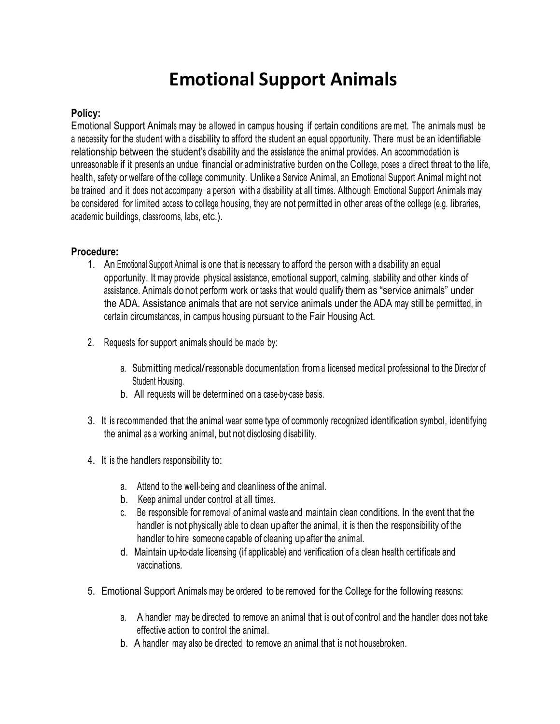## **Emotional Support Animals**

## **Policy:**

Emotional Support Animals may be allowed in campus housing if certain conditions are met. The animals must be <sup>a</sup> necessity for the student with <sup>a</sup> disability to afford the student an equal opportunity. There must be an identifiable relationship between the student's disability and the assistance the animal provides. An accommodation is unreasonable if it presents an undue financial or administrative burden on the College, poses <sup>a</sup> direct threat to the life, health, safety or welfare of the college community. Unlike <sup>a</sup> Service Animal, an Emotional Support Animal might not be trained and it does not accompany <sup>a</sup> person with <sup>a</sup> disability at all times. Although Emotional Support Animals may be considered for limited access to college housing, they are not permitted in other areas of the college (e.g. libraries, academic buildings, classrooms, labs, etc.).

## **Procedure:**

- 1. An Emotional Support Animal is one that is necessary to afford the person with <sup>a</sup> disability an equal opportunity. It may provide physical assistance, emotional support, calming, stability and other kinds of assistance. Animals do not perform work or tasks that would qualify them as "service animals" under the ADA. Assistance animals that are not service animals under the ADA may still be permitted, in certain circumstances, in campus housing pursuant to the Fair Housing Act.
- 2. Requests for support animals should be made by:
	- a. Submitting medical/reasonable documentation froma licensed medical professional to the Director of Student Housing.
	- b. All requests will be determined on <sup>a</sup> case-by-case basis.
- 3. It is recommended that the animal wear some type of commonly recognized identification symbol, identifying the animal as <sup>a</sup> working animal, but not disclosing disability.
- 4. It is the handlers responsibility to:
	- a. Attend to the well-being and cleanliness of the animal.
	- b. Keep animal under control at all times.
	- c. Be responsible for removal of animal waste and maintain clean conditions. In the event that the handler is not physically able to clean up after the animal, it is then the responsibility of the handler to hire someone capable of cleaning up after the animal.
	- d. Maintain up-to-date licensing (if applicable) and verification of <sup>a</sup> clean health certificate and vaccinations.
- 5. Emotional Support Animals may be ordered to be removed for the College for the following reasons:
	- a. A handler may be directed to remove an animal that is out of control and the handler does not take effective action to control the animal.
	- b. A handler may also be directed to remove an animal that is not housebroken.